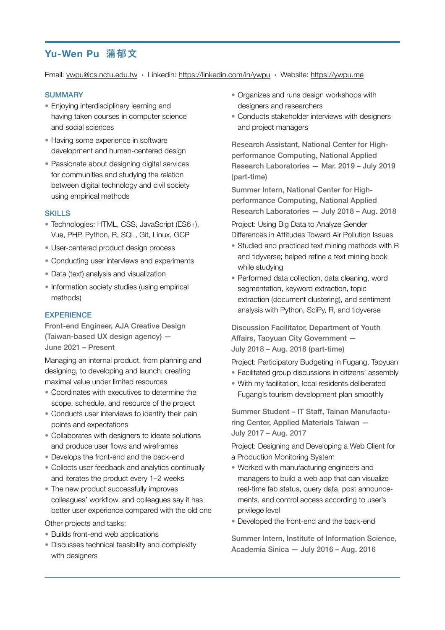# **Yu-Wen Pu 蒲郁文**

Email: [ywpu@cs.nctu.edu.tw](mailto:ywpu@cs.nctu.edu.tw) ∙ Linkedin: <https://linkedin.com/in/ywpu> ∙ Website: <https://ywpu.me>

#### **SUMMARY**

- Enjoying interdisciplinary learning and having taken courses in computer science and social sciences
- Having some experience in software development and human-centered design
- Passionate about designing digital services for communities and studying the relation between digital technology and civil society using empirical methods

### SKILLS

- Technologies: HTML, CSS, JavaScript (ES6+), Vue, PHP, Python, R, SQL, Git, Linux, GCP
- User-centered product design process
- Conducting user interviews and experiments
- Data (text) analysis and visualization
- Information society studies (using empirical methods)

## **EXPERIENCE**

Front-end Engineer, AJA Creative Design (Taiwan-based UX design agency) — June 2021 – Present

Managing an internal product, from planning and designing, to developing and launch; creating maximal value under limited resources

- Coordinates with executives to determine the scope, schedule, and resource of the project
- Conducts user interviews to identify their pain points and expectations
- Collaborates with designers to ideate solutions and produce user flows and wireframes
- Develops the front-end and the back-end
- Collects user feedback and analytics continually and iterates the product every 1–2 weeks
- The new product successfully improves colleagues' workflow, and colleagues say it has better user experience compared with the old one
- Other projects and tasks:
- Builds front-end web applications
- Discusses technical feasibility and complexity with designers
- Organizes and runs design workshops with designers and researchers
- Conducts stakeholder interviews with designers and project managers

Research Assistant, National Center for Highperformance Computing, National Applied Research Laboratories — Mar. 2019 – July 2019 (part-time)

Summer Intern, National Center for Highperformance Computing, National Applied Research Laboratories — July 2018 – Aug. 2018

Project: Using Big Data to Analyze Gender Differences in Attitudes Toward Air Pollution Issues

- Studied and practiced text mining methods with R and tidyverse; helped refine a text mining book while studying
- Performed data collection, data cleaning, word segmentation, keyword extraction, topic extraction (document clustering), and sentiment analysis with Python, SciPy, R, and tidyverse

Discussion Facilitator, Department of Youth Affairs, Taoyuan City Government — July 2018 – Aug. 2018 (part-time)

Project: Participatory Budgeting in Fugang, Taoyuan

- Facilitated group discussions in citizens' assembly
- With my facilitation, local residents deliberated Fugang's tourism development plan smoothly

Summer Student – IT Staff, Tainan Manufacturing Center, Applied Materials Taiwan — July 2017 – Aug. 2017

Project: Designing and Developing a Web Client for a Production Monitoring System

- Worked with manufacturing engineers and managers to build a web app that can visualize real-time fab status, query data, post announcements, and control access according to user's privilege level
- Developed the front-end and the back-end

Summer Intern, Institute of Information Science, Academia Sinica — July 2016 – Aug. 2016